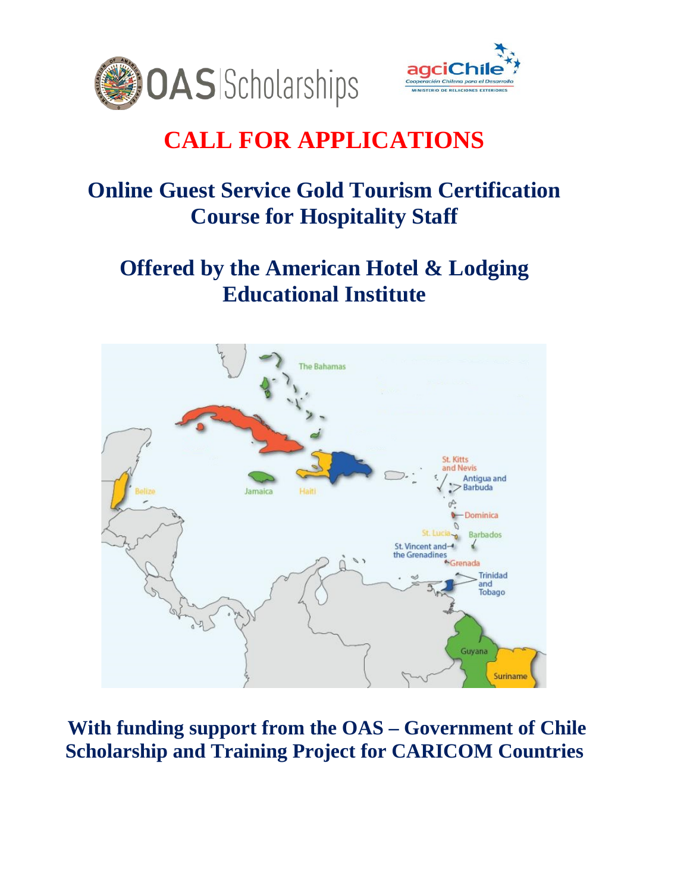



# **CALL FOR APPLICATIONS**

## **Online Guest Service Gold Tourism Certification Course for Hospitality Staff**

## **Offered by the American Hotel & Lodging Educational Institute**



**With funding support from the OAS – Government of Chile Scholarship and Training Project for CARICOM Countries**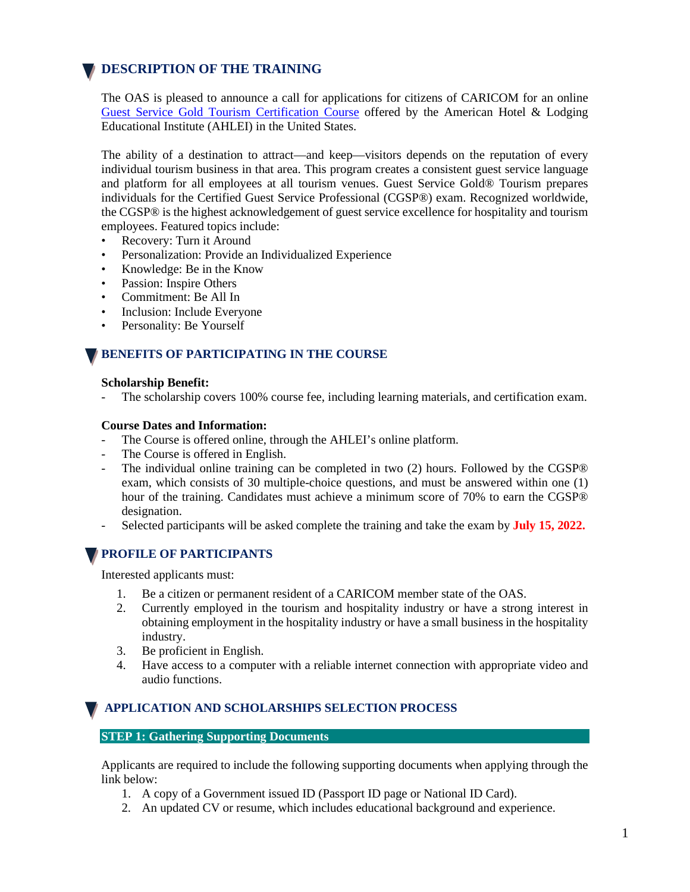## **DESCRIPTION OF THE TRAINING**

The OAS is pleased to announce a call for applications for citizens of CARICOM for an online [Guest Service Gold Tourism Certification Course](https://www.ahlei.org/product/guest-service-gold-tourism-online-program-and-certification/) offered by the American Hotel & Lodging Educational Institute (AHLEI) in the United States.

The ability of a destination to attract—and keep—visitors depends on the reputation of every individual tourism business in that area. This program creates a consistent guest service language and platform for all employees at all tourism venues. Guest Service Gold® Tourism prepares individuals for the Certified Guest Service Professional (CGSP®) exam. Recognized worldwide, the CGSP® is the highest acknowledgement of guest service excellence for hospitality and tourism employees. Featured topics include:

- Recovery: Turn it Around
- Personalization: Provide an Individualized Experience
- Knowledge: Be in the Know
- Passion: Inspire Others
- Commitment: Be All In
- Inclusion: Include Everyone
- Personality: Be Yourself

### **BENEFITS OF PARTICIPATING IN THE COURSE**

#### **Scholarship Benefit:**

The scholarship covers 100% course fee, including learning materials, and certification exam.

#### **Course Dates and Information:**

- The Course is offered online, through the AHLEI's online platform.
- The Course is offered in English.
- The individual online training can be completed in two (2) hours. Followed by the CGSP® exam, which consists of 30 multiple-choice questions, and must be answered within one (1) hour of the training. Candidates must achieve a minimum score of 70% to earn the CGSP® designation.
- Selected participants will be asked complete the training and take the exam by **July 15, 2022.**

### **PROFILE OF PARTICIPANTS**

Interested applicants must:

- 1. Be a citizen or permanent resident of a CARICOM member state of the OAS.
- 2. Currently employed in the tourism and hospitality industry or have a strong interest in obtaining employment in the hospitality industry or have a small business in the hospitality industry.
- 3. Be proficient in English.
- 4. Have access to a computer with a reliable internet connection with appropriate video and audio functions.

## **APPLICATION AND SCHOLARSHIPS SELECTION PROCESS**

#### **STEP 1: Gathering Supporting Documents**

Applicants are required to include the following supporting documents when applying through the link below:

- 1. A copy of a Government issued ID (Passport ID page or National ID Card).
- 2. An updated CV or resume, which includes educational background and experience.